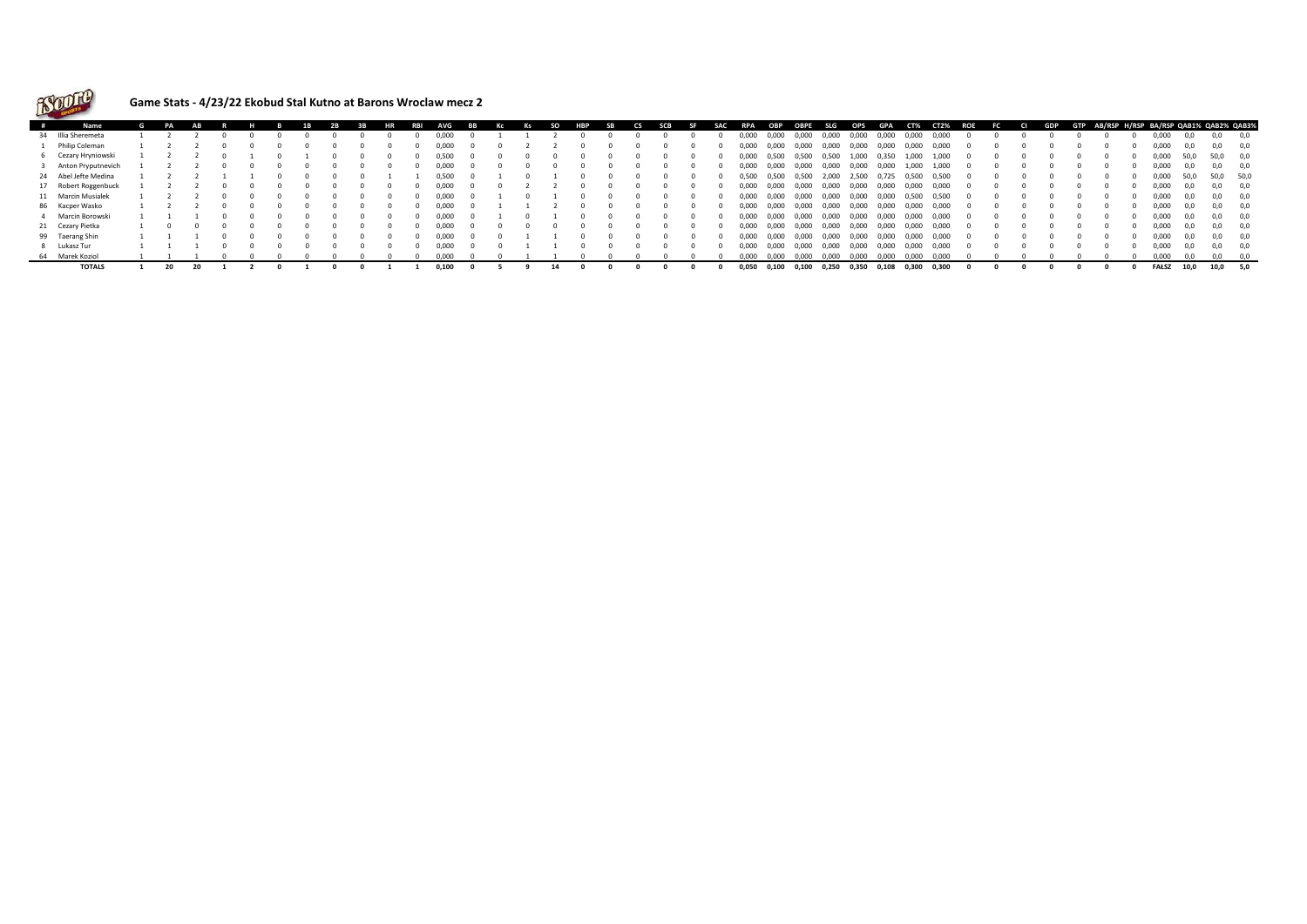

## **Game Stats - 4/23/22 Ekobud Stal Kutno at Barons Wroclaw mecz 2**

| # | Name                 |  |  |  |  |  | WG    |  |  |  | гs | <b>SCB</b> |  | <b>RPA</b> | OBP   | <b>OBPE</b> | <b>SLG</b> | OPS   | GPA   | CT%   | <b>CT2%</b> | ROE | - ЕС | GDP | <b>GTP</b> | AB/RSP H/RSP BA/RSP QAB1% QAB2% QAB3% |       |      |          |      |
|---|----------------------|--|--|--|--|--|-------|--|--|--|----|------------|--|------------|-------|-------------|------------|-------|-------|-------|-------------|-----|------|-----|------------|---------------------------------------|-------|------|----------|------|
|   | 34 Illia Sheremeta   |  |  |  |  |  | 0,000 |  |  |  |    |            |  | 000,0      | 0,000 | 0,000       | 0,000      | 0,000 | 0,000 | 0,000 | 0,000       |     |      |     |            |                                       | 0,000 | 0.0  | 0,0      |      |
|   | 1 Philip Coleman     |  |  |  |  |  | 0,000 |  |  |  |    |            |  | 0,000      | 0,000 | 0,000       | 0,000      | 0,000 | 0,000 | 0,000 | 0,000       |     |      |     |            |                                       | 0,000 | 0.0  | 0,0      |      |
|   | 6 Cezary Hryniowski  |  |  |  |  |  | 0.500 |  |  |  |    |            |  | 0.000      | 0.500 | 0.500       | 0.500      | 1.000 | 0.350 | 1,000 | 1.000       |     |      |     |            |                                       | 0.000 | 50.0 | 50,0 0,0 |      |
|   | Anton Pryputnevich   |  |  |  |  |  | 0.000 |  |  |  |    |            |  | 0.000      | 0,000 | 0,000       | 0,000      | 0,000 | 0,000 | 1,000 | 1,000       |     |      |     |            |                                       | 0,000 | 0.0  | 0.0      | 0.0  |
|   | 24 Abel Jefte Medina |  |  |  |  |  | 0,500 |  |  |  |    |            |  | 0,500      | 0,500 | 0,500       | 2,000      | 2,500 | 0,725 | 0,500 | 0,500       |     |      |     |            |                                       | 0,000 | 50,0 | 50,0     | 50,0 |
|   | 17 Robert Roggenbuck |  |  |  |  |  | 0,000 |  |  |  |    |            |  | 0,000      | 0,000 | 0,000       | 0,000      | 0,000 | 0,000 | 0,000 | 0,000       |     |      |     |            |                                       | 0,000 | 0.0  | 0.0      |      |
|   | 11 Marcin Musialek   |  |  |  |  |  | 0.000 |  |  |  |    |            |  | D.OOO      | 0.000 | 0.000       | 0.000      | 0.000 | 0.000 | 0,500 | 0.500       |     |      |     |            |                                       | 0,000 | 0.0  | 0.0      | 0.0  |
|   | 86 Kacper Wasko      |  |  |  |  |  | 0,000 |  |  |  |    |            |  | 0,000      | 0,000 | 0,000       | 0,000      | 0,000 | 0,000 | 0,000 | 0,000       |     |      |     |            |                                       | 0,000 | 0.0  | 0.0      |      |
|   | 4 Marcin Borowski    |  |  |  |  |  | 0,000 |  |  |  |    |            |  | 0.000      | 0,000 | 0,000       | 0,000      | 0,000 | 0,000 | 0,000 | 0,000       |     |      |     |            |                                       | 0,000 | 0.0  | 0,0      | 0.0  |
|   | 21 Cezary Pietka     |  |  |  |  |  | 0,000 |  |  |  |    |            |  | 0,000      | 0,000 | 0,000       | 0,000      | 0,000 | 0,000 | 0,000 | 0,000       |     |      |     |            |                                       | 0,000 | 0.0  | 0,0      | 0.0  |
|   | 99 Taerang Shin      |  |  |  |  |  | 0.000 |  |  |  |    |            |  | 0.000      | 0.000 | 0.000       | 0,000      | 0.000 | 0,000 | 0,000 | 0,000       |     |      |     |            |                                       | 0.000 | 0.0  | 0.0      | 0.0  |
|   | 8 Lukasz Tur         |  |  |  |  |  | 0.000 |  |  |  |    |            |  | 0.000      | 0,000 | 0,000       | 0,000      | 0,000 | 0,000 | 0,000 | 0,000       |     |      |     |            |                                       | 0.000 | 0.0  | 0.0      | 0.0  |
|   | 64 Marek Koziol      |  |  |  |  |  | o ooo |  |  |  |    |            |  | 0.000      | 0.000 | 0.000       | 0.000      | 0.000 | 0,000 | 0,000 | 0.000       |     |      |     |            |                                       | 0.000 | n n  | nn       |      |
|   | <b>TOTALS</b>        |  |  |  |  |  | 0,100 |  |  |  |    |            |  | 0,050      | 0,100 | 0,100       | 0,250      | 0,350 | 0,108 | 0,300 | 0,300       |     |      |     |            |                                       | FAŁSZ | 10,0 | 10,0     | 5,0  |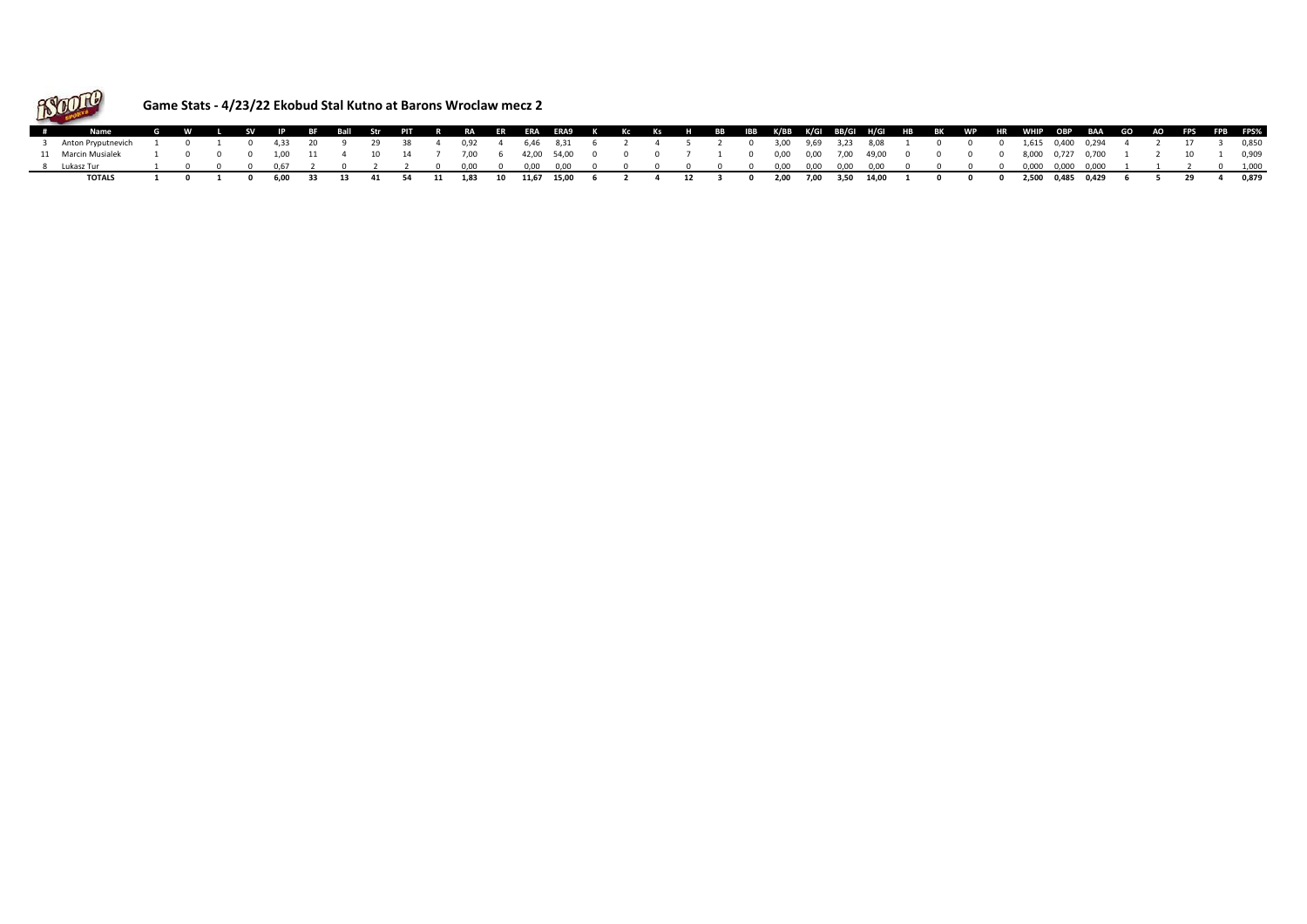

## **Game Stats - 4/23/22 Ekobud Stal Kutno at Barons Wroclaw mecz 2**

|                                                                                                                                        |  |  |  |  |  | \ G W L SV IP BF Ball Str PIT R RA ER ERA ERA9 K Kc Ks H BB IBB K/BB K/GI BB/GI H/GI HB BK WP HR WHIP OBP BAA GO AO FPS FPB FPS%                                                                                                                                                                                                                 |  |  |  |  |  |  |  |  |  |  |  |  |  |
|----------------------------------------------------------------------------------------------------------------------------------------|--|--|--|--|--|--------------------------------------------------------------------------------------------------------------------------------------------------------------------------------------------------------------------------------------------------------------------------------------------------------------------------------------------------|--|--|--|--|--|--|--|--|--|--|--|--|--|
| Anton Pryputnevich 1 0 1 0 4,33 20 9 29 38 4 0,92 4 6,46 8,31 6 2 4 5 2 0 3,00 9,69 3,23 8,08 1 0 0 0 1,615 0,400 0,294 4 2 17 3 0,850 |  |  |  |  |  |                                                                                                                                                                                                                                                                                                                                                  |  |  |  |  |  |  |  |  |  |  |  |  |  |
| 11 Marcin Musialek 1                                                                                                                   |  |  |  |  |  | $1$ 0 0 0 1,00 11 4 10 14 7 7,00 6 42,00 54,00 0 0 0 7 1 0 0,00 0,00 7,00 49,00 0 0 0 0 8,000 0,727 0,700 1 2 10 1 0,909                                                                                                                                                                                                                         |  |  |  |  |  |  |  |  |  |  |  |  |  |
| Lukasz Tur                                                                                                                             |  |  |  |  |  | $1\quad 0\quad 0\quad 0\quad 0.67\quad 2\quad 0\quad 2\quad 2\quad 0\quad 0.00\quad 0\quad 0.00\quad 0.00\quad 0.00\quad 0\quad 0\quad 0\quad 0\quad 0\quad 0\quad 0\quad 0.00\quad 0.000\quad 0.000\quad 0.000\quad 0.000\quad 0.000\quad 0.000\quad 0.000\quad 1\quad 1\quad 2\quad 0\quad 1.000\quad 0.000\quad 0.000\quad 0.000\quad 0.000\$ |  |  |  |  |  |  |  |  |  |  |  |  |  |
|                                                                                                                                        |  |  |  |  |  | l 0 1 0 6.00 33 13 41 54 11 1.83 10 11.67 15.00 6 2 4 12 3 0 2.00 7.00 3.50 14.00 1 0 0 0 2.500 0.485 0.429 6 5 29 4 0.879                                                                                                                                                                                                                       |  |  |  |  |  |  |  |  |  |  |  |  |  |